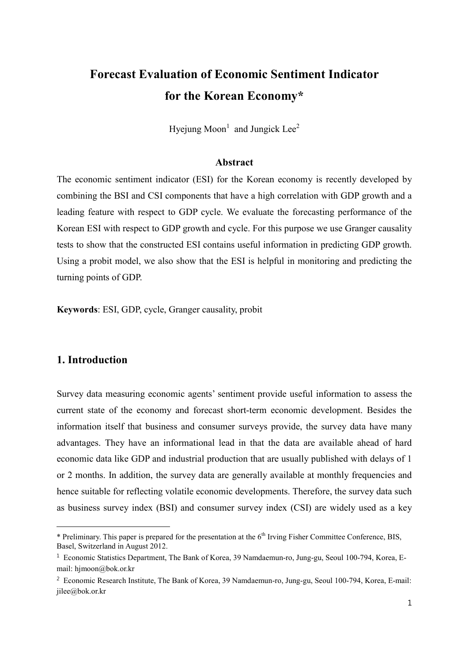# **Forecast Evaluation of Economic Sentiment Indicator for the Korean Economy\***

Hyejung Moon<sup>1</sup> and Jungick Lee<sup>2</sup>

## **Abstract**

The economic sentiment indicator (ESI) for the Korean economy is recently developed by combining the BSI and CSI components that have a high correlation with GDP growth and a leading feature with respect to GDP cycle. We evaluate the forecasting performance of the Korean ESI with respect to GDP growth and cycle. For this purpose we use Granger causality tests to show that the constructed ESI contains useful information in predicting GDP growth. Using a probit model, we also show that the ESI is helpful in monitoring and predicting the turning points of GDP.

**Keywords**: ESI, GDP, cycle, Granger causality, probit

# **1. Introduction**

-

Survey data measuring economic agents' sentiment provide useful information to assess the current state of the economy and forecast short-term economic development. Besides the information itself that business and consumer surveys provide, the survey data have many advantages. They have an informational lead in that the data are available ahead of hard economic data like GDP and industrial production that are usually published with delays of 1 or 2 months. In addition, the survey data are generally available at monthly frequencies and hence suitable for reflecting volatile economic developments. Therefore, the survey data such as business survey index (BSI) and consumer survey index (CSI) are widely used as a key

<sup>\*</sup> Preliminary. This paper is prepared for the presentation at the 6<sup>th</sup> Irving Fisher Committee Conference, BIS, Basel, Switzerland in August 2012.

<sup>1</sup> Economic Statistics Department, The Bank of Korea, 39 Namdaemun-ro, Jung-gu, Seoul 100-794, Korea, E mail: hjmoon@bok.or.kr

<sup>&</sup>lt;sup>2</sup> Economic Research Institute, The Bank of Korea, 39 Namdaemun-ro, Jung-gu, Seoul 100-794, Korea, E-mail: jilee@bok.or.kr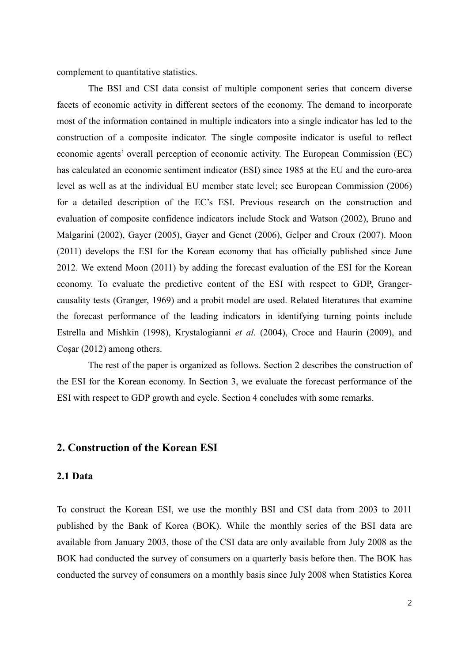complement to quantitative statistics.

The BSI and CSI data consist of multiple component series that concern diverse facets of economic activity in different sectors of the economy. The demand to incorporate most of the information contained in multiple indicators into a single indicator has led to the construction of a composite indicator. The single composite indicator is useful to reflect economic agents' overall perception of economic activity. The European Commission (EC) has calculated an economic sentiment indicator (ESI) since 1985 at the EU and the euro-area level as well as at the individual EU member state level; see European Commission (2006) for a detailed description of the EC's ESI. Previous research on the construction and evaluation of composite confidence indicators include Stock and Watson (2002), Bruno and Malgarini (2002), Gayer (2005), Gayer and Genet (2006), Gelper and Croux (2007). Moon (2011) develops the ESI for the Korean economy that has officially published since June 2012. We extend Moon (2011) by adding the forecast evaluation of the ESI for the Korean economy. To evaluate the predictive content of the ESI with respect to GDP, Granger causality tests (Granger, 1969) and a probit model are used. Related literatures that examine the forecast performance of the leading indicators in identifying turning points include Estrella and Mishkin (1998), Krystalogianni *et al*. (2004), Croce and Haurin (2009), and Coşar (2012) among others.

The rest of the paper is organized as follows. Section 2 describes the construction of the ESI for the Korean economy. In Section 3, we evaluate the forecast performance of the ESI with respect to GDP growth and cycle. Section 4 concludes with some remarks.

# **2. Construction of the Korean ESI**

## **2.1 Data**

To construct the Korean ESI, we use the monthly BSI and CSI data from 2003 to 2011 published by the Bank of Korea (BOK). While the monthly series of the BSI data are available from January 2003, those of the CSI data are only available from July 2008 as the BOK had conducted the survey of consumers on a quarterly basis before then. The BOK has conducted the survey of consumers on a monthly basis since July 2008 when Statistics Korea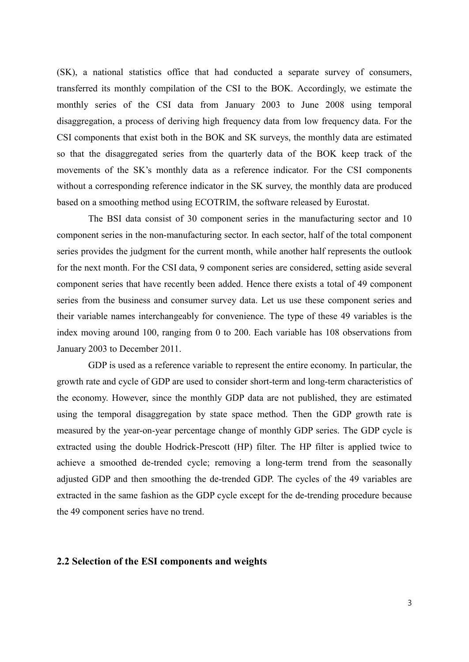(SK), a national statistics office that had conducted a separate survey of consumers, transferred its monthly compilation of the CSI to the BOK. Accordingly, we estimate the monthly series of the CSI data from January 2003 to June 2008 using temporal disaggregation, a process of deriving high frequency data from low frequency data. For the CSI components that exist both in the BOK and SK surveys, the monthly data are estimated so that the disaggregated series from the quarterly data of the BOK keep track of the movements of the SK's monthly data as a reference indicator. For the CSI components without a corresponding reference indicator in the SK survey, the monthly data are produced based on a smoothing method using ECOTRIM, the software released by Eurostat.

The BSI data consist of 30 component series in the manufacturing sector and 10 component series in the non-manufacturing sector. In each sector, half of the total component series provides the judgment for the current month, while another half represents the outlook for the next month. For the CSI data, 9 component series are considered, setting aside several component series that have recently been added. Hence there exists a total of 49 component series from the business and consumer survey data. Let us use these component series and their variable names interchangeably for convenience. The type of these 49 variables is the index moving around 100, ranging from 0 to 200. Each variable has 108 observations from January 2003 to December 2011. GDP is used as a reference variable to represent the entire economy. In particular, the

growth rate and cycle of GDP are used to consider short-term and long-term characteristics of the economy. However, since the monthly GDP data are not published, they are estimated using the temporal disaggregation by state space method. Then the GDP growth rate is measured by the year-on-year percentage change of monthly GDP series. The GDP cycle is extracted using the double Hodrick-Prescott (HP) filter. The HP filter is applied twice to achieve a smoothed de-trended cycle; removing a long-term trend from the seasonally adjusted GDP and then smoothing the de-trended GDP. The cycles of the 49 variables are extracted in the same fashion as the GDP cycle except for the de-trending procedure because the 49 component series have no trend.

## **2.2 Selection of the ESI components and weights**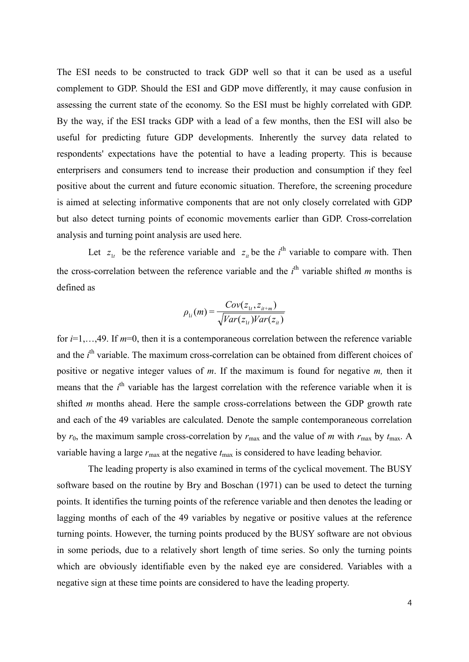The ESI needs to be constructed to track GDP well so that it can be used as a useful complement to GDP. Should the ESI and GDP move differently, it may cause confusion in assessing the current state of the economy. So the ESI must be highly correlated with GDP. By the way, if the ESI tracks GDP with a lead of a few months, then the ESI will also be useful for predicting future GDP developments. Inherently the survey data related to respondents' expectations have the potential to have a leading property. This is because enterprisers and consumers tend to increase their production and consumption if they feel positive about the current and future economic situation. Therefore, the screening procedure is aimed at selecting informative components that are not only closely correlated with GDP but also detect turning points of economic movements earlier than GDP. Cross-correlation analysis and turning point analysis are used here.

Let  $z_{1t}$  be the reference variable and  $z_{it}$  be the *i*<sup>th</sup> variable to compare with. Then the cross-correlation between the reference variable and the  $i<sup>th</sup>$  variable shifted *m* months is defined as

$$
\rho_{1i}(m) = \frac{Cov(z_{1t}, z_{it+m})}{\sqrt{Var(z_{1t})Var(z_{it})}}
$$

for *i*=1,…,49. If *m*=0, then it is a contemporaneous correlation between the reference variable and the *i*<sup>th</sup> variable. The maximum cross-correlation can be obtained from different choices of positive or negative integer values of *m*. If the maximum is found for negative *m,* then it means that the *i*<sup>th</sup> variable has the largest correlation with the reference variable when it is shifted *m* months ahead. Here the sample cross-correlations between the GDP growth rate and each of the 49 variables are calculated. Denote the sample contemporaneous correlation by  $r_0$ , the maximum sample cross-correlation by  $r_{\text{max}}$  and the value of *m* with  $r_{\text{max}}$  by  $t_{\text{max}}$ . A variable having a large  $r_{\text{max}}$  at the negative  $t_{\text{max}}$  is considered to have leading behavior.

The leading property is also examined in terms of the cyclical movement. The BUSY software based on the routine by Bry and Boschan (1971) can be used to detect the turning points. It identifies the turning points of the reference variable and then denotes the leading or lagging months of each of the 49 variables by negative or positive values at the reference turning points. However, the turning points produced by the BUSY software are not obvious in some periods, due to a relatively short length of time series. So only the turning points which are obviously identifiable even by the naked eye are considered. Variables with a negative sign at these time points are considered to have the leading property.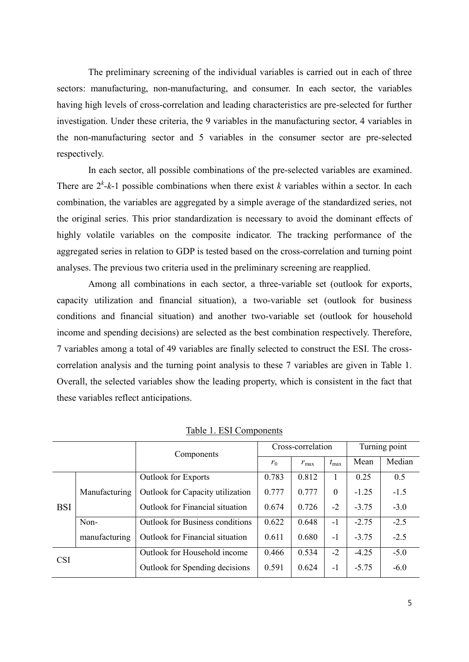The preliminary screening of the individual variables is carried out in each of three sectors: manufacturing, non-manufacturing, and consumer. In each sector, the variables having high levels of cross-correlation and leading characteristics are pre-selected for further investigation. Under these criteria, the 9 variables in the manufacturing sector, 4 variables in the non-manufacturing sector and 5 variables in the consumer sector are pre-selected respectively.

In each sector, all possible combinations of the pre-selected variables are examined. There are  $2^k - k - 1$  possible combinations when there exist *k* variables within a sector. In each combination, the variables are aggregated by a simple average of the standardized series, not the original series. This prior standardization is necessary to avoid the dominant effects of highly volatile variables on the composite indicator. The tracking performance of the aggregated series in relation to GDP is tested based on the cross-correlation and turning point analyses. The previous two criteria used in the preliminary screening are reapplied.

Among all combinations in each sector, a three-variable set (outlook for exports, capacity utilization and financial situation), a two-variable set (outlook for business conditions and financial situation) and another two-variable set (outlook for household income and spending decisions) are selected as the best combination respectively. Therefore, 7 variables among a total of 49 variables are finally selected to construct the ESI. The cross correlation analysis and the turning point analysis to these 7 variables are given in Table 1. Overall, the selected variables show the leading property, which is consistent in the fact that these variables reflect anticipations.

|            |               | Components                             |       | Cross-correlation | Turning point |         |        |
|------------|---------------|----------------------------------------|-------|-------------------|---------------|---------|--------|
|            |               |                                        | $r_0$ | $r_{\rm max}$     | $t_{\rm max}$ | Mean    | Median |
|            |               | <b>Outlook</b> for Exports             | 0.783 | 0.812             |               | 0.25    | 0.5    |
|            | Manufacturing | Outlook for Capacity utilization       | 0.777 | 0.777             | $\theta$      | $-1.25$ | $-1.5$ |
| <b>BSI</b> |               | Outlook for Financial situation        | 0.674 | 0.726             | $-2$          | $-3.75$ | $-3.0$ |
|            | Non-          | <b>Outlook</b> for Business conditions | 0.622 | 0.648             | $-1$          | $-2.75$ | $-2.5$ |
|            | manufacturing | <b>Outlook</b> for Financial situation | 0.611 | 0.680             | $-1$          | $-3.75$ | $-2.5$ |
| <b>CSI</b> |               | Outlook for Household income           | 0.466 | 0.534             | $-2$          | $-4.25$ | $-5.0$ |
|            |               | Outlook for Spending decisions         | 0.591 | 0.624             | $-1$          | $-5.75$ | $-6.0$ |

Table 1. ESI Components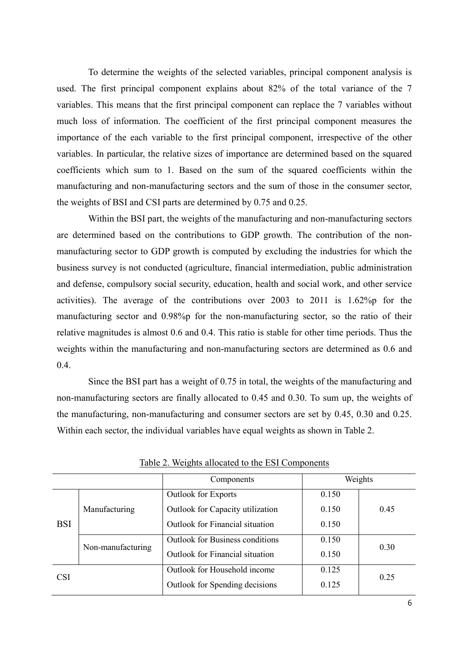To determine the weights of the selected variables, principal component analysis is used. The first principal component explains about 82% of the total variance of the 7 variables. This means that the first principal component can replace the 7 variables without much loss of information. The coefficient of the first principal component measures the importance of the each variable to the first principal component, irrespective of the other variables. In particular, the relative sizes of importance are determined based on the squared coefficients which sum to 1. Based on the sum of the squared coefficients within the manufacturing and non-manufacturing sectors and the sum of those in the consumer sector, the weights of BSI and CSI parts are determined by 0.75 and 0.25.

Within the BSI part, the weights of the manufacturing and non-manufacturing sectors are determined based on the contributions to GDP growth. The contribution of the non manufacturing sector to GDP growth is computed by excluding the industries for which the business survey is not conducted (agriculture, financial intermediation, public administration and defense, compulsory social security, education, health and social work, and other service activities). The average of the contributions over 2003 to 2011 is 1.62%p for the manufacturing sector and 0.98%p for the non-manufacturing sector, so the ratio of their relative magnitudes is almost 0.6 and 0.4. This ratio is stable for other time periods. Thus the weights within the manufacturing and non-manufacturing sectors are determined as 0.6 and 0.4.

Since the BSI part has a weight of 0.75 in total, the weights of the manufacturing and non-manufacturing sectors are finally allocated to 0.45 and 0.30. To sum up, the weights of the manufacturing, non-manufacturing and consumer sectors are set by 0.45, 0.30 and 0.25. Within each sector, the individual variables have equal weights as shown in Table 2.<br>Table 2. Weights allocated to the ESI Components

|            |                   | Components                              |       | Weights |  |
|------------|-------------------|-----------------------------------------|-------|---------|--|
|            |                   | <b>Outlook for Exports</b>              | 0.150 |         |  |
|            | Manufacturing     | <b>Outlook</b> for Capacity utilization | 0.150 | 0.45    |  |
| <b>BSI</b> |                   | <b>Outlook</b> for Financial situation  | 0.150 |         |  |
|            |                   | <b>Outlook</b> for Business conditions  | 0.150 |         |  |
|            | Non-manufacturing | <b>Outlook for Financial situation</b>  | 0.150 | 0.30    |  |
|            |                   | Outlook for Household income            | 0.125 |         |  |
| <b>CSI</b> |                   | Outlook for Spending decisions          | 0.125 | 0.25    |  |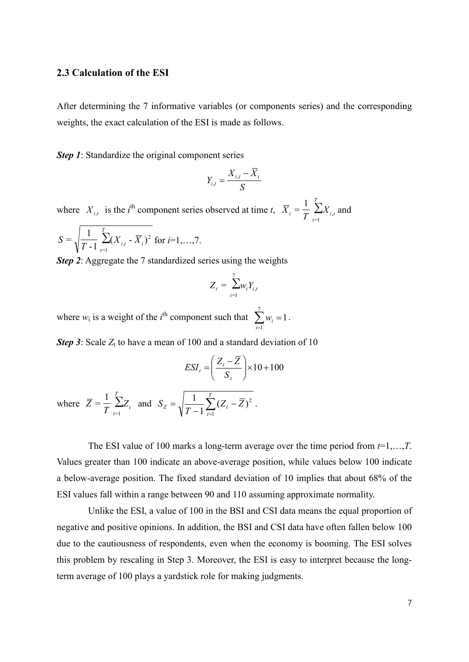#### **2.3 Calculation of the ESI**

After determining the 7 informative variables (or components series) and the corresponding weights, the exact calculation of the ESI is made as follows.

*Step 1*: Standardize the original component series

$$
Y_{i,t} = \frac{X_{i,t} - \overline{X}_i}{S}
$$

where  $X_{i,t}$  is the *i*<sup>th</sup> component series observed at time *t*,  $\overline{X}_i = \frac{1}{T} \sum_i$  $=1$  $=\frac{1}{T}\sum_{i,t}^{T}X_{i,t}$  and  $X_i = \frac{1}{T} \sum_{t=1}^{T} X_{i,t}$  and

$$
S = \sqrt{\frac{1}{T-1} \sum_{i=1}^{T} (X_{i,t} - \overline{X}_i)^2 \text{ for } i=1,\dots,7}.
$$

*Step 2*: Aggregate the 7 standardized series using the weights

$$
Z_t = \sum_{i=1}^7 w_i Y_{i,t}
$$

where  $w_i$  is a weight of the *i*<sup>th</sup> component such that  $\sum_{i=1}^{7} w_i = 1$ .  $\sum_{i=1} w_i = 1$ .

**Step 3**: Scale  $Z_t$  to have a mean of 100 and a standard deviation of 10

$$
ESI_t = \left(\frac{Z_t - \overline{Z}}{S_z}\right) \times 10 + 100
$$

where  $\overline{Z} = \frac{1}{T} \sum_{i=1}^{T} Z_i$  $_{-1}$   $\sqrt{1}$   $-1$  $=\frac{1}{T}\sum_{t=0}^{T}Z_{t}$  and  $S_{Z}=\sqrt{\frac{1}{T-1}\sum_{t=0}^{T}(Z_{t}-\overline{Z})^{2}}$ .  $\overline{Z} = \frac{1}{T} \sum_{t=1}^{T} Z_t$  and  $S_z = \sqrt{\frac{1}{T-1} \sum_{t=1}^{T} (Z_t - \overline{Z})^2}$ .  $=\sqrt{\frac{1}{T}}\sum (Z_t - Z)^2$ . *T*  $Z = \sqrt{\frac{1}{T-1} \sum_{t=1}^{T} (Z_t - Z)^2}$ .  $S_z = \sqrt{\frac{1}{T-1}} \sum (Z_t - Z)^2$ .  $\frac{1}{-1}\sum_{t=1}^T (Z_t - \overline{Z})^2$ .

The ESI value of 100 marks a long-term average over the time period from  $t=1,...,T$ .<br>Values greater than 100 indicate an above-average position, while values below 100 indicate a below-average position. The fixed standard deviation of 10 implies that about 68% of the ESI values fall within a range between 90 and 110 assuming approximate normality.

Unlike the ESI, a value of 100 in the BSI and CSI data means the equal proportion of negative and positive opinions. In addition, the BSI and CSI data have often fallen below 100 due to the cautiousness of respondents, even when the economy is booming. The ESI solves this problem by rescaling in Step 3. Moreover, the ESI is easy to interpret because the longterm average of 100 plays a yardstick role for making judgments.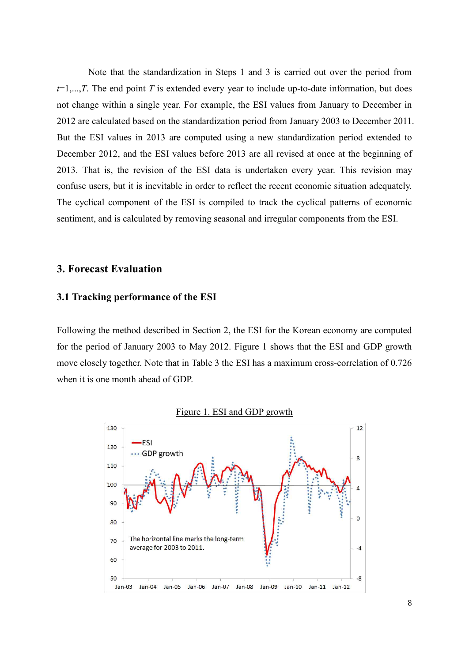Note that the standardization in Steps 1 and 3 is carried out over the period from  $t=1,...,T$ . The end point *T* is extended every year to include up-to-date information, but does not change within a single year. For example, the ESI values from January to December in <sup>2012</sup> are calculated based on the standardization period from January 2003 to December 2011. But the ESI values in 2013 are computed using a new standardization period extended to December 2012, and the ESI values before 2013 are all revised at once at the beginning of 2013. That is, the revision of the ESI data is undertaken every year. This revision may confuse users, but it is inevitable in order to reflect the recent economic situation adequately. The cyclical component of the ESI is compiled to track the cyclical patterns of economic sentiment, and is calculated by removing seasonal and irregular components from the ESI.

## **3. Forecast Evaluation**

## **3.1 Tracking performance of the ESI**

Following the method described in Section 2, the ESI for the Korean economy are computed for the period of January 2003 to May 2012. Figure 1 shows that the ESI and GDP growth move closely together. Note that in Table 3 the ESI has a maximum cross-correlation of 0.726 when it is one month ahead of GDP.



Figure 1. ESI and GDP growth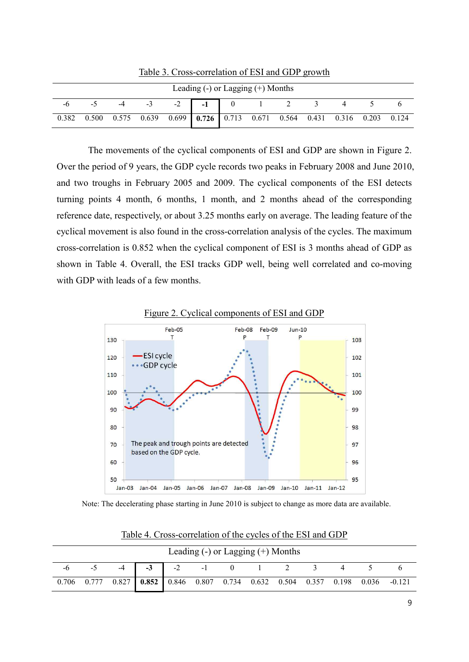| Leading $(-)$ or Lagging $(+)$ Months |                                                                                 |      |      |  |           |  |                       |               |  |  |
|---------------------------------------|---------------------------------------------------------------------------------|------|------|--|-----------|--|-----------------------|---------------|--|--|
|                                       |                                                                                 | $-4$ | $-3$ |  | $-2$ $-1$ |  | $0 \qquad 1 \qquad 2$ | $\mathcal{R}$ |  |  |
| 0.382                                 | $0.500$ $0.575$ $0.639$ $0.699$ 0.726 0.713 0.671 0.564 0.431 0.316 0.203 0.124 |      |      |  |           |  |                       |               |  |  |

Table 3. Cross-correlation of ESI and GDP growth

The movements of the cyclical components of ESI and GDP are shown in Figure 2.<br>Over the period of 9 years, the GDP cycle records two peaks in February 2008 and June 2010,<br>and two troughs in February 2005 and 2009. The cycl turning points 4 month, 6 months, 1 month, and 2 months ahead of the corresponding reference date, respectively, or about 3.25 months early on average. The leading feature of the cyclical movement is also found in the cross-correlation analysis of the cycles. The maximum cross-correlation is 0.852 when the cyclical component of ESI is 3 months ahead of GDP as shown in Table 4. Overall, the ESI tracks GDP well, being well correlated and co-moving with GDP with leads of a few months.



Figure 2. Cyclical components of ESI and GDP

Note: The decelerating phase starting in June 2010 is subject to change as more data are available.

| Leading $(-)$ or Lagging $(+)$ Months       |  |  |  |  |  |  |  |  |  |  |                                                                                                          |  |
|---------------------------------------------|--|--|--|--|--|--|--|--|--|--|----------------------------------------------------------------------------------------------------------|--|
| $-6$ $-5$ $-4$ $-3$ $-2$ $-1$ 0 1 2 3 4 5 6 |  |  |  |  |  |  |  |  |  |  |                                                                                                          |  |
|                                             |  |  |  |  |  |  |  |  |  |  | $0.706$ $0.777$ $0.827$ $0.852$ $0.846$ $0.807$ $0.734$ $0.632$ $0.504$ $0.357$ $0.198$ $0.036$ $-0.121$ |  |

Table 4. Cross-correlation of the cycles of the ESI and GDP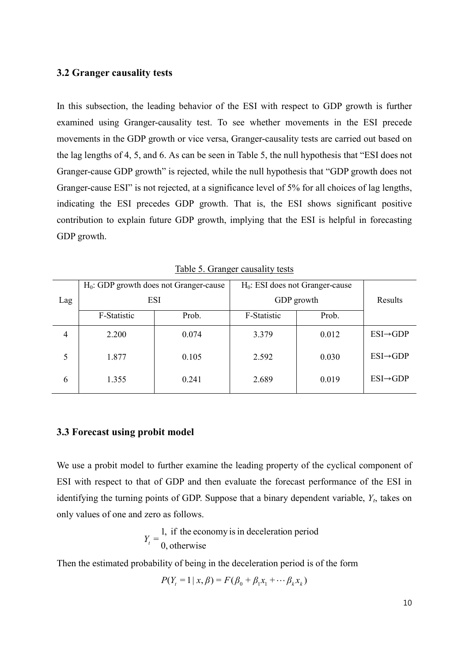## **3.2 Granger causality tests**

In this subsection, the leading behavior of the ESI with respect to GDP growth is further examined using Granger-causality test. To see whether movements in the ESI precede movements in the GDP growth or vice versa, Granger-causality tests are carried out based on the lag lengths of 4, 5, and 6. As can be seen in Table 5, the null hypothesis that "ESI does not Granger-cause GDP growth" is rejected, while the null hypothesis that "GDP growth does not Granger-cause ESI" is not rejected, at a significance level of 5% for all choices of lag lengths, indicating the ESI precedes GDP growth. That is, the ESI shows significant positive contribution to explain future GDP growth, implying that the ESI is helpful in forecasting GDP growth.<br>Table 5. Granger causality tests

| Lag | $H_0$ : GDP growth does not Granger-cause<br><b>ESI</b> |       |             | $H_0$ : ESI does not Granger-cause<br>GDP growth |                       |  |
|-----|---------------------------------------------------------|-------|-------------|--------------------------------------------------|-----------------------|--|
|     | F-Statistic                                             | Prob. | F-Statistic | Prob.                                            |                       |  |
| 4   | 2.200                                                   | 0.074 | 3.379       | 0.012                                            | $ESI \rightarrow GDP$ |  |
| 5   | 1.877                                                   | 0.105 | 2.592       | 0.030                                            | $ESI \rightarrow GDP$ |  |
| 6   | 1.355                                                   | 0.241 | 2.689       | 0.019                                            | $ESI \rightarrow GDP$ |  |

## **3.3 Forecast using probit model**

We use a probit model to further examine the leading property of the cyclical component of ESI with respect to that of GDP and then evaluate the forecast performance of the ESI in identifying the turning points of GDP. Suppose that a binary dependent variable, *Yt*, takes on only values of one and zero as follows.

$$
Y_t = \frac{1}{0}
$$
, if the economy is in deceleration period  
0, otherwise

Then the estimated probability of being in the deceleration period is of the form

$$
P(Y_t = 1 | x, \beta) = F(\beta_0 + \beta_1 x_1 + \dots + \beta_k x_k)
$$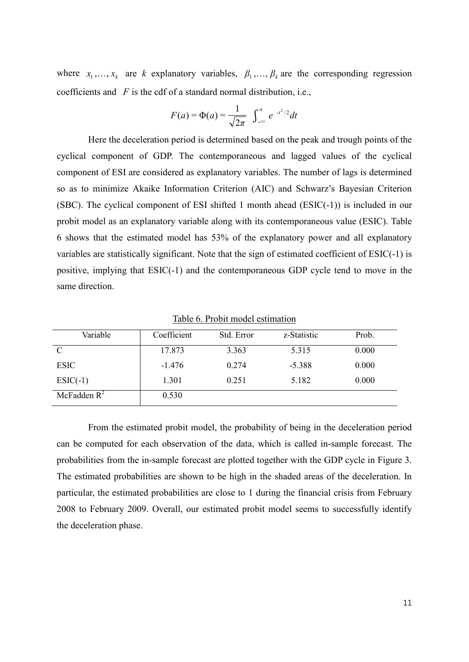where  $x_1, \ldots, x_k$  are *k* explanatory variables,  $\beta_1, \ldots, \beta_k$  are the corresponding regression coefficients and *F* is the cdf of a standard normal distribution, i.e.,

$$
F(a) = \Phi(a) = \frac{1}{\sqrt{2\pi}} \int_{-\infty}^{a} e^{-t^2/2} dt
$$

Here the deceleration period is determined based on the peak and trough points of the cyclical component of GDP. The contemporaneous and lagged values of the cyclical component of ESI are considered as explanatory variables. The number of lags is determined so as to minimize Akaike Information Criterion (AIC) and Schwarz's Bayesian Criterion (SBC). The cyclical component of ESI shifted 1 month ahead (ESIC $(-1)$ ) is included in our probit model as an explanatory variable along with its contemporaneous value (ESIC). Table 6 shows that the estimated model has 53% of the explanatory power and all explanatory variables are statistically significant. Note that the sign of estimated coefficient of ESIC(-1) is positive, implying that ESIC(-1) and the contemporaneous GDP cycle tend to move in the same direction.

| Variable       | Coefficient | Std. Error | z-Statistic | Prob. |
|----------------|-------------|------------|-------------|-------|
|                | 17.873      | 3.363      | 5.315       | 0.000 |
| <b>ESIC</b>    | $-1.476$    | 0.274      | $-5.388$    | 0.000 |
| $ESIC(-1)$     | 1.301       | 0.251      | 5.182       | 0.000 |
| McFadden $R^2$ | 0.530       |            |             |       |

Table 6. Probit model estimation

From the estimated probit model, the probability of being in the deceleration period can be computed for each observation of the data, which is called in-sample forecast. The probabilities from the in-sample forecast are plotted together with the GDP cycle in Figure 3. The estimated probabilities are shown to be high in the shaded areas of the deceleration. In particular, the estimated probabilities are close to 1 during the financial crisis from February 2008 to February 2009. Overall, our estimated probit model seems to successfully identify the deceleration phase.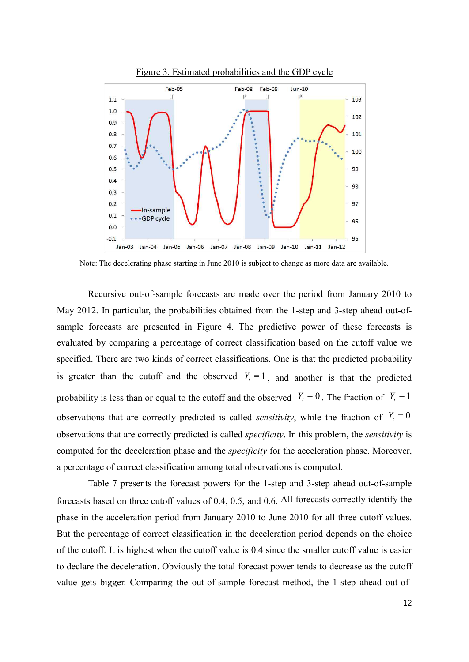

Figure 3. Estimated probabilities and the GDP cycle

Note: The decelerating phase starting in June 2010 is subject to change as more data are available.

Recursive out-of-sample forecasts are made over the period from January 2010 to May 2012. In particular, the probabilities obtained from the 1-step and 3-step ahead out-ofsample forecasts are presented in Figure 4. The predictive power of these forecasts is evaluated by comparing a percentage of correct classification based on the cutoff value we specified. There are two kinds of correct classifications. One is that the predicted probability is greater than the cutoff and the observed  $Y_t = 1$ , and another is that the predicted probability is less than or equal to the cutoff and the observed  $Y_t = 0$ . The fraction of  $Y_t = 1$ observations that are correctly predicted is called *sensitivity*, while the fraction of  $Y_t = 0$ observations that are correctly predicted is called *specificity*. In this problem, the *sensitivity* is computed for the deceleration phase and the *specificity* for the acceleration phase. Moreover, a percentage of correct classification among total observations is computed.

Table 7 presents the forecast powers for the 1-step and 3-step ahead out-of-sample forecasts based on three cutoff values of 0.4, 0.5, and 0.6. All forecasts correctly identify the phase in the acceleration period from January 2010 to June 2010 for all three cutoff values. But the percentage of correct classification in the deceleration period depends on the choice of the cutoff. It is highest when the cutoff value is 0.4 since the smaller cutoff value is easier to declare the deceleration. Obviously the total forecast power tends to decrease as the cutoff value gets bigger. Comparing the out-of-sample forecast method, the 1-step ahead out-of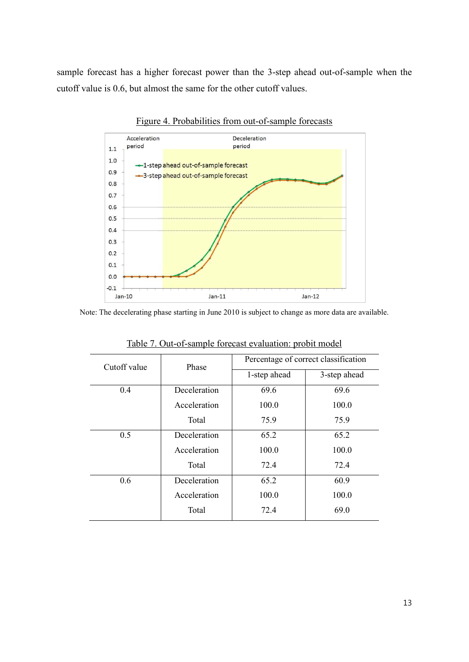sample forecast has a higher forecast power than the 3-step ahead out-of-sample when the cutoff value is 0.6, but almost the same for the other cutoff values.<br>Figure 4. Probabilities from out-of-sample forecasts



Note: The decelerating phase starting in June 2010 is subject to change as more data are available.

| Cutoff value | Phase        | Percentage of correct classification |              |
|--------------|--------------|--------------------------------------|--------------|
|              |              | 1-step ahead                         | 3-step ahead |
| 0.4          | Deceleration | 69.6                                 | 69.6         |
|              | Acceleration | 100.0                                | 100.0        |
|              | Total        | 75.9                                 | 75.9         |
| 0.5          | Deceleration | 65.2                                 | 65.2         |
|              | Acceleration | 100.0                                | 100.0        |
|              | Total        | 72.4                                 | 72.4         |
| 0.6          | Deceleration | 65.2                                 | 60.9         |
|              | Acceleration | 100.0                                | 100.0        |
|              | Total        | 72.4                                 | 69.0         |

Table 7. Out-of-sample forecast evaluation: probit model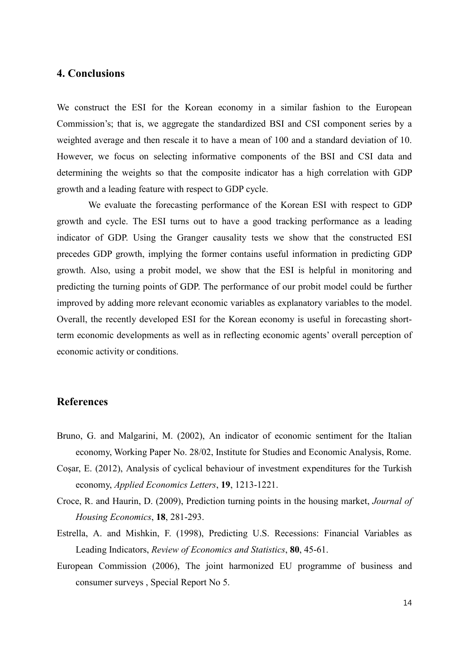# **4. Conclusions**

We construct the ESI for the Korean economy in a similar fashion to the European Commission's; that is, we aggregate the standardized BSI and CSI component series by a weighted average and then rescale it to have a mean of 100 and a standard deviation of 10. However, we focus on selecting informative components of the BSI and CSI data and determining the weights so that the composite indicator has a high correlation with GDP growth and a leading feature with respect to GDP cycle.

We evaluate the forecasting performance of the Korean ESI with respect to GDP growth and cycle. The ESI turns out to have a good tracking performance as a leading indicator of GDP. Using the Granger causality tests we show that the constructed ESI precedes GDP growth, implying the former contains useful information in predicting GDP growth. Also, using a probit model, we show that the ESI is helpful in monitoring and predicting the turning points of GDP. The performance of our probit model could be further improved by adding more relevant economic variables as explanatory variables to the model. Overall, the recently developed ESI for the Korean economy is useful in forecasting shortterm economic developments as well as in reflecting economic agents' overall perception of economic activity or conditions.

## **References**

- Bruno, G. and Malgarini, M. (2002), An indicator of economic sentiment for the Italian economy, Working Paper No. 28/02, Institute for Studies and Economic Analysis, Rome.
- Coşar, E. (2012), Analysis of cyclical behaviour of investment expenditures for the Turkish economy, *Applied Economics Letters*, **19**, 1213-1221.
- Croce, R. and Haurin, D. (2009), Prediction turning points in the housing market, *Journal of Housing Economics*, **18**, 281-293.
- Estrella, A. and Mishkin, F. (1998), Predicting U.S. Recessions: Financial Variables as Leading Indicators, *Review of Economics and Statistics*, **80**, 45-61.
- European Commission (2006), The joint harmonized EU programme of business and consumer surveys , Special Report No 5.